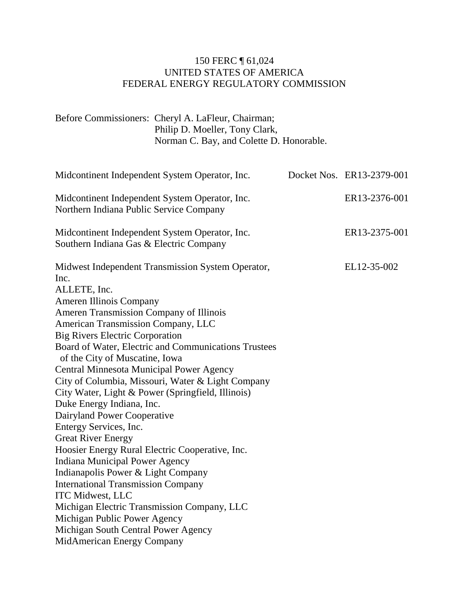# 150 FERC ¶ 61,024 UNITED STATES OF AMERICA FEDERAL ENERGY REGULATORY COMMISSION

Before Commissioners: Cheryl A. LaFleur, Chairman; Philip D. Moeller, Tony Clark, Norman C. Bay, and Colette D. Honorable.

| Midcontinent Independent System Operator, Inc.                                                              | Docket Nos. ER13-2379-001 |
|-------------------------------------------------------------------------------------------------------------|---------------------------|
| Midcontinent Independent System Operator, Inc.<br>Northern Indiana Public Service Company                   | ER13-2376-001             |
| Midcontinent Independent System Operator, Inc.<br>Southern Indiana Gas & Electric Company                   | ER13-2375-001             |
| Midwest Independent Transmission System Operator,<br>Inc.<br>ALLETE, Inc.<br><b>Ameren Illinois Company</b> | EL12-35-002               |
| Ameren Transmission Company of Illinois                                                                     |                           |
| American Transmission Company, LLC                                                                          |                           |
| <b>Big Rivers Electric Corporation</b>                                                                      |                           |
| Board of Water, Electric and Communications Trustees<br>of the City of Muscatine, Iowa                      |                           |
| Central Minnesota Municipal Power Agency                                                                    |                           |
| City of Columbia, Missouri, Water & Light Company                                                           |                           |
| City Water, Light & Power (Springfield, Illinois)                                                           |                           |
| Duke Energy Indiana, Inc.                                                                                   |                           |
| Dairyland Power Cooperative                                                                                 |                           |
| Entergy Services, Inc.                                                                                      |                           |
| <b>Great River Energy</b>                                                                                   |                           |
| Hoosier Energy Rural Electric Cooperative, Inc.                                                             |                           |
| <b>Indiana Municipal Power Agency</b>                                                                       |                           |
| Indianapolis Power & Light Company                                                                          |                           |
| <b>International Transmission Company</b>                                                                   |                           |
| ITC Midwest, LLC                                                                                            |                           |
| Michigan Electric Transmission Company, LLC                                                                 |                           |
| Michigan Public Power Agency                                                                                |                           |
| Michigan South Central Power Agency                                                                         |                           |
| MidAmerican Energy Company                                                                                  |                           |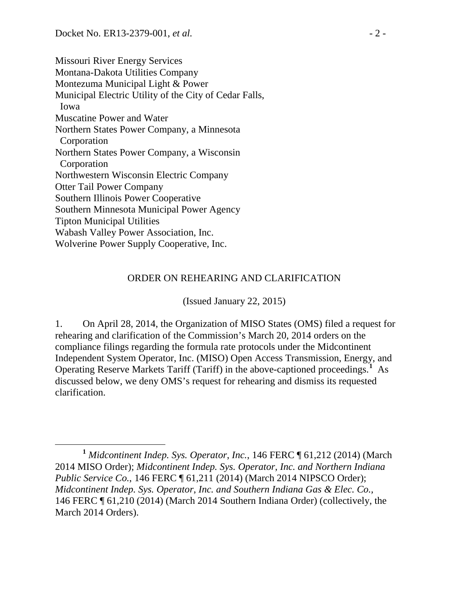Missouri River Energy Services Montana-Dakota Utilities Company Montezuma Municipal Light & Power Municipal Electric Utility of the City of Cedar Falls, Iowa Muscatine Power and Water Northern States Power Company, a Minnesota Corporation Northern States Power Company, a Wisconsin Corporation Northwestern Wisconsin Electric Company Otter Tail Power Company Southern Illinois Power Cooperative Southern Minnesota Municipal Power Agency Tipton Municipal Utilities Wabash Valley Power Association, Inc. Wolverine Power Supply Cooperative, Inc.

## ORDER ON REHEARING AND CLARIFICATION

(Issued January 22, 2015)

1. On April 28, 2014, the Organization of MISO States (OMS) filed a request for rehearing and clarification of the Commission's March 20, 2014 orders on the compliance filings regarding the formula rate protocols under the Midcontinent Independent System Operator, Inc. (MISO) Open Access Transmission, Energy, and Operating Reserve Markets Tariff (Tariff) in the above-captioned proceedings.**[1](#page-1-0)** As discussed below, we deny OMS's request for rehearing and dismiss its requested clarification.

<span id="page-1-0"></span>**<sup>1</sup>** *Midcontinent Indep. Sys. Operator*, *Inc.*, 146 FERC ¶ 61,212 (2014) (March 2014 MISO Order); *Midcontinent Indep. Sys. Operator*, *Inc. and Northern Indiana Public Service Co.*, 146 FERC  $\sqrt{ }$  61,211 (2014) (March 2014 NIPSCO Order); *Midcontinent Indep. Sys. Operator*, *Inc. and Southern Indiana Gas & Elec. Co.,*  146 FERC ¶ 61,210 (2014) (March 2014 Southern Indiana Order) (collectively, the March 2014 Orders).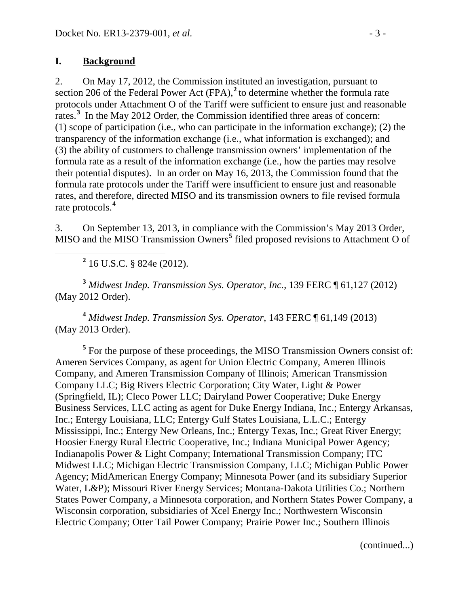#### **I. Background**

2. On May 17, 2012, the Commission instituted an investigation, pursuant to section 206 of the Federal Power Act (FPA),**[2](#page-2-0)** to determine whether the formula rate protocols under Attachment O of the Tariff were sufficient to ensure just and reasonable rates.<sup>[3](#page-2-1)</sup> In the May 2012 Order, the Commission identified three areas of concern: (1) scope of participation (i.e., who can participate in the information exchange); (2) the transparency of the information exchange (i.e., what information is exchanged); and (3) the ability of customers to challenge transmission owners' implementation of the formula rate as a result of the information exchange (i.e., how the parties may resolve their potential disputes). In an order on May 16, 2013, the Commission found that the formula rate protocols under the Tariff were insufficient to ensure just and reasonable rates, and therefore, directed MISO and its transmission owners to file revised formula rate protocols.**[4](#page-2-2)**

3. On September 13, 2013, in compliance with the Commission's May 2013 Order, MISO and the MISO Transmission Owners<sup>[5](#page-2-3)</sup> filed proposed revisions to Attachment O of

**<sup>2</sup>** 16 U.S.C. § 824e (2012).

<span id="page-2-1"></span><span id="page-2-0"></span>**<sup>3</sup>** *Midwest Indep. Transmission Sys. Operator, Inc.*, 139 FERC ¶ 61,127 (2012) (May 2012 Order).

<span id="page-2-2"></span>**<sup>4</sup>** *Midwest Indep. Transmission Sys. Operator*, 143 FERC ¶ 61,149 (2013) (May 2013 Order).

<span id="page-2-3"></span><sup>5</sup> For the purpose of these proceedings, the MISO Transmission Owners consist of: Ameren Services Company, as agent for Union Electric Company, Ameren Illinois Company, and Ameren Transmission Company of Illinois; American Transmission Company LLC; Big Rivers Electric Corporation; City Water, Light & Power (Springfield, IL); Cleco Power LLC; Dairyland Power Cooperative; Duke Energy Business Services, LLC acting as agent for Duke Energy Indiana, Inc.; Entergy Arkansas, Inc.; Entergy Louisiana, LLC; Entergy Gulf States Louisiana, L.L.C.; Entergy Mississippi, Inc.; Entergy New Orleans, Inc.; Entergy Texas, Inc.; Great River Energy; Hoosier Energy Rural Electric Cooperative, Inc.; Indiana Municipal Power Agency; Indianapolis Power & Light Company; International Transmission Company; ITC Midwest LLC; Michigan Electric Transmission Company, LLC; Michigan Public Power Agency; MidAmerican Energy Company; Minnesota Power (and its subsidiary Superior Water, L&P); Missouri River Energy Services; Montana-Dakota Utilities Co.; Northern States Power Company, a Minnesota corporation, and Northern States Power Company, a Wisconsin corporation, subsidiaries of Xcel Energy Inc.; Northwestern Wisconsin Electric Company; Otter Tail Power Company; Prairie Power Inc.; Southern Illinois

(continued...)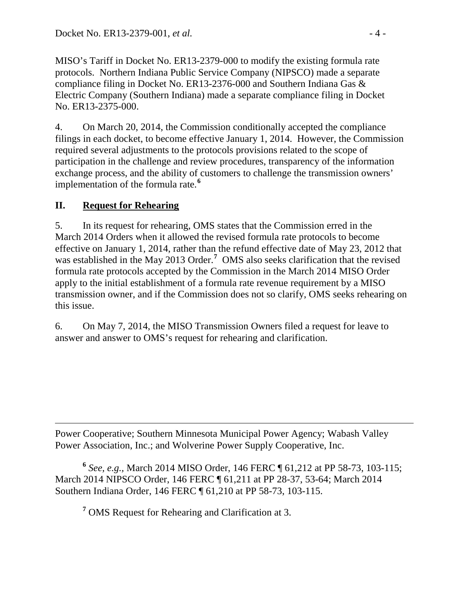MISO's Tariff in Docket No. ER13-2379-000 to modify the existing formula rate protocols. Northern Indiana Public Service Company (NIPSCO) made a separate compliance filing in Docket No. ER13-2376-000 and Southern Indiana Gas & Electric Company (Southern Indiana) made a separate compliance filing in Docket No. ER13-2375-000.

4. On March 20, 2014, the Commission conditionally accepted the compliance filings in each docket, to become effective January 1, 2014. However, the Commission required several adjustments to the protocols provisions related to the scope of participation in the challenge and review procedures, transparency of the information exchange process, and the ability of customers to challenge the transmission owners' implementation of the formula rate.**[6](#page-3-0)**

# **II. Request for Rehearing**

5. In its request for rehearing, OMS states that the Commission erred in the March 2014 Orders when it allowed the revised formula rate protocols to become effective on January 1, 2014, rather than the refund effective date of May 23, 2012 that was established in the May 2013 Order.<sup>[7](#page-3-1)</sup> OMS also seeks clarification that the revised formula rate protocols accepted by the Commission in the March 2014 MISO Order apply to the initial establishment of a formula rate revenue requirement by a MISO transmission owner, and if the Commission does not so clarify, OMS seeks rehearing on this issue.

6. On May 7, 2014, the MISO Transmission Owners filed a request for leave to answer and answer to OMS's request for rehearing and clarification.

 $\overline{a}$ Power Cooperative; Southern Minnesota Municipal Power Agency; Wabash Valley Power Association, Inc.; and Wolverine Power Supply Cooperative, Inc.

<span id="page-3-1"></span><span id="page-3-0"></span>**<sup>6</sup>** *See, e.g.,* March 2014 MISO Order, 146 FERC ¶ 61,212 at PP 58-73, 103-115; March 2014 NIPSCO Order, 146 FERC ¶ 61,211 at PP 28-37, 53-64; March 2014 Southern Indiana Order, 146 FERC ¶ 61,210 at PP 58-73, 103-115.

**<sup>7</sup>** OMS Request for Rehearing and Clarification at 3.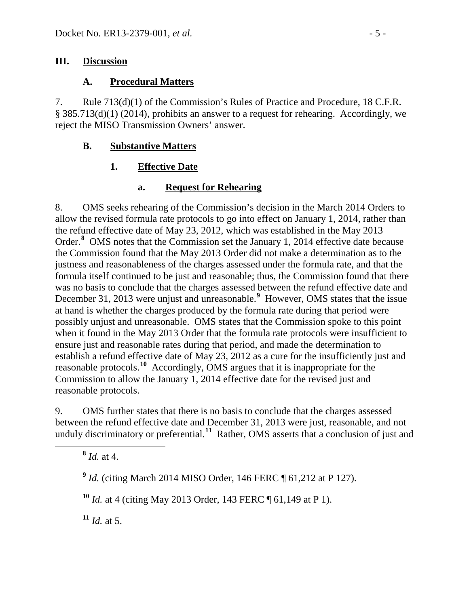#### **III. Discussion**

## **A. Procedural Matters**

7. Rule 713(d)(1) of the Commission's Rules of Practice and Procedure, 18 C.F.R. § 385.713(d)(1) (2014), prohibits an answer to a request for rehearing. Accordingly, we reject the MISO Transmission Owners' answer.

## **B. Substantive Matters**

# **1. Effective Date**

# **a. Request for Rehearing**

8. OMS seeks rehearing of the Commission's decision in the March 2014 Orders to allow the revised formula rate protocols to go into effect on January 1, 2014, rather than the refund effective date of May 23, 2012, which was established in the May 2013 Order.**[8](#page-4-0)** OMS notes that the Commission set the January 1, 2014 effective date because the Commission found that the May 2013 Order did not make a determination as to the justness and reasonableness of the charges assessed under the formula rate, and that the formula itself continued to be just and reasonable; thus, the Commission found that there was no basis to conclude that the charges assessed between the refund effective date and December 31, 2013 were unjust and unreasonable.**[9](#page-4-1)** However, OMS states that the issue at hand is whether the charges produced by the formula rate during that period were possibly unjust and unreasonable. OMS states that the Commission spoke to this point when it found in the May 2013 Order that the formula rate protocols were insufficient to ensure just and reasonable rates during that period, and made the determination to establish a refund effective date of May 23, 2012 as a cure for the insufficiently just and reasonable protocols.**[10](#page-4-2)** Accordingly, OMS argues that it is inappropriate for the Commission to allow the January 1, 2014 effective date for the revised just and reasonable protocols.

<span id="page-4-0"></span>9. OMS further states that there is no basis to conclude that the charges assessed between the refund effective date and December 31, 2013 were just, reasonable, and not unduly discriminatory or preferential.**[11](#page-4-3)** Rather, OMS asserts that a conclusion of just and

**<sup>8</sup>** *Id.* at 4.

<span id="page-4-1"></span>**<sup>9</sup>** *Id.* (citing March 2014 MISO Order, 146 FERC ¶ 61,212 at P 127).

<span id="page-4-2"></span>**<sup>10</sup>** *Id.* at 4 (citing May 2013 Order, 143 FERC ¶ 61,149 at P 1).

<span id="page-4-3"></span> $11$  *Id.* at 5.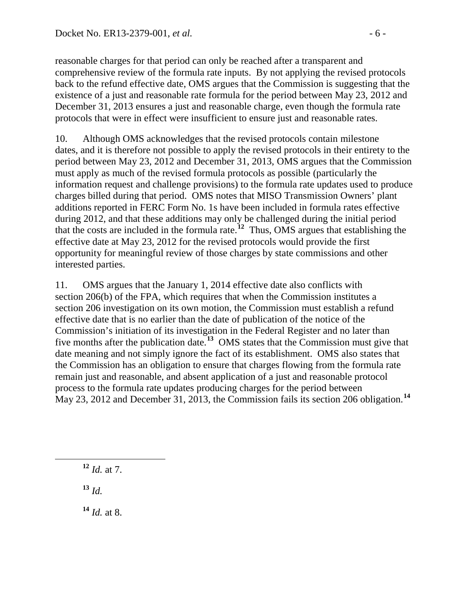reasonable charges for that period can only be reached after a transparent and comprehensive review of the formula rate inputs. By not applying the revised protocols back to the refund effective date, OMS argues that the Commission is suggesting that the existence of a just and reasonable rate formula for the period between May 23, 2012 and December 31, 2013 ensures a just and reasonable charge, even though the formula rate protocols that were in effect were insufficient to ensure just and reasonable rates.

10. Although OMS acknowledges that the revised protocols contain milestone dates, and it is therefore not possible to apply the revised protocols in their entirety to the period between May 23, 2012 and December 31, 2013, OMS argues that the Commission must apply as much of the revised formula protocols as possible (particularly the information request and challenge provisions) to the formula rate updates used to produce charges billed during that period. OMS notes that MISO Transmission Owners' plant additions reported in FERC Form No. 1s have been included in formula rates effective during 2012, and that these additions may only be challenged during the initial period that the costs are included in the formula rate.**[12](#page-5-0)** Thus, OMS argues that establishing the effective date at May 23, 2012 for the revised protocols would provide the first opportunity for meaningful review of those charges by state commissions and other interested parties.

11. OMS argues that the January 1, 2014 effective date also conflicts with section 206(b) of the FPA, which requires that when the Commission institutes a section 206 investigation on its own motion, the Commission must establish a refund effective date that is no earlier than the date of publication of the notice of the Commission's initiation of its investigation in the Federal Register and no later than five months after the publication date.**[13](#page-5-1)** OMS states that the Commission must give that date meaning and not simply ignore the fact of its establishment. OMS also states that the Commission has an obligation to ensure that charges flowing from the formula rate remain just and reasonable, and absent application of a just and reasonable protocol process to the formula rate updates producing charges for the period between May 23, 2012 and December 31, 2013, the Commission fails its section 206 obligation.**[14](#page-5-2)**

<span id="page-5-0"></span>**<sup>12</sup>** *Id.* at 7.

<span id="page-5-1"></span>**<sup>13</sup>** *Id.*

<span id="page-5-2"></span>**<sup>14</sup>** *Id.* at 8.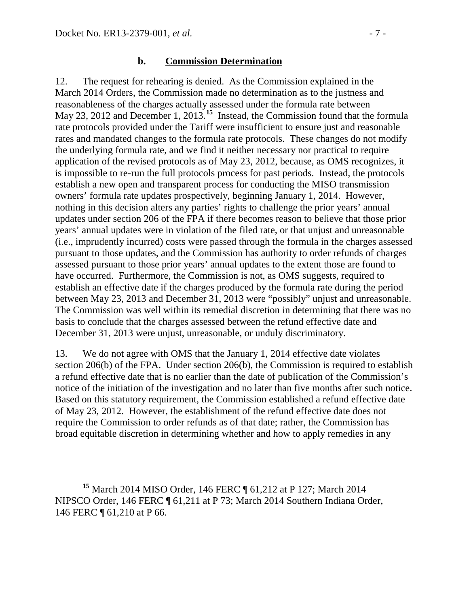#### **b. Commission Determination**

12. The request for rehearing is denied. As the Commission explained in the March 2014 Orders, the Commission made no determination as to the justness and reasonableness of the charges actually assessed under the formula rate between May 23, 2012 and December 1, 2013.<sup>[15](#page-6-0)</sup> Instead, the Commission found that the formula rate protocols provided under the Tariff were insufficient to ensure just and reasonable rates and mandated changes to the formula rate protocols. These changes do not modify the underlying formula rate, and we find it neither necessary nor practical to require application of the revised protocols as of May 23, 2012, because, as OMS recognizes, it is impossible to re-run the full protocols process for past periods. Instead, the protocols establish a new open and transparent process for conducting the MISO transmission owners' formula rate updates prospectively, beginning January 1, 2014. However, nothing in this decision alters any parties' rights to challenge the prior years' annual updates under section 206 of the FPA if there becomes reason to believe that those prior years' annual updates were in violation of the filed rate, or that unjust and unreasonable (i.e., imprudently incurred) costs were passed through the formula in the charges assessed pursuant to those updates, and the Commission has authority to order refunds of charges assessed pursuant to those prior years' annual updates to the extent those are found to have occurred. Furthermore, the Commission is not, as OMS suggests, required to establish an effective date if the charges produced by the formula rate during the period between May 23, 2013 and December 31, 2013 were "possibly" unjust and unreasonable. The Commission was well within its remedial discretion in determining that there was no basis to conclude that the charges assessed between the refund effective date and December 31, 2013 were unjust, unreasonable, or unduly discriminatory.

13. We do not agree with OMS that the January 1, 2014 effective date violates section 206(b) of the FPA. Under section 206(b), the Commission is required to establish a refund effective date that is no earlier than the date of publication of the Commission's notice of the initiation of the investigation and no later than five months after such notice. Based on this statutory requirement, the Commission established a refund effective date of May 23, 2012. However, the establishment of the refund effective date does not require the Commission to order refunds as of that date; rather, the Commission has broad equitable discretion in determining whether and how to apply remedies in any

<span id="page-6-0"></span>**<sup>15</sup>** March 2014 MISO Order, 146 FERC ¶ 61,212 at P 127; March 2014 NIPSCO Order, 146 FERC ¶ 61,211 at P 73; March 2014 Southern Indiana Order, 146 FERC ¶ 61,210 at P 66.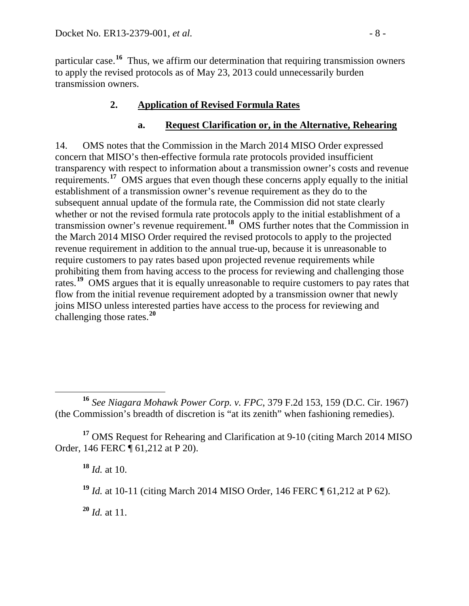particular case.**[16](#page-7-0)** Thus, we affirm our determination that requiring transmission owners to apply the revised protocols as of May 23, 2013 could unnecessarily burden transmission owners.

# **2. Application of Revised Formula Rates**

#### **a. Request Clarification or, in the Alternative, Rehearing**

14. OMS notes that the Commission in the March 2014 MISO Order expressed concern that MISO's then-effective formula rate protocols provided insufficient transparency with respect to information about a transmission owner's costs and revenue requirements.<sup>[17](#page-7-1)</sup> OMS argues that even though these concerns apply equally to the initial establishment of a transmission owner's revenue requirement as they do to the subsequent annual update of the formula rate, the Commission did not state clearly whether or not the revised formula rate protocols apply to the initial establishment of a transmission owner's revenue requirement.**[18](#page-7-2)** OMS further notes that the Commission in the March 2014 MISO Order required the revised protocols to apply to the projected revenue requirement in addition to the annual true-up, because it is unreasonable to require customers to pay rates based upon projected revenue requirements while prohibiting them from having access to the process for reviewing and challenging those rates.<sup>[19](#page-7-3)</sup> OMS argues that it is equally unreasonable to require customers to pay rates that flow from the initial revenue requirement adopted by a transmission owner that newly joins MISO unless interested parties have access to the process for reviewing and challenging those rates.**[20](#page-7-4)**

<span id="page-7-3"></span><span id="page-7-2"></span><span id="page-7-1"></span>**<sup>17</sup>** OMS Request for Rehearing and Clarification at 9-10 (citing March 2014 MISO Order, 146 FERC ¶ 61,212 at P 20).

**<sup>18</sup>** *Id.* at 10.

**<sup>19</sup>** *Id.* at 10-11 (citing March 2014 MISO Order, 146 FERC ¶ 61,212 at P 62).

<span id="page-7-4"></span>**<sup>20</sup>** *Id.* at 11.

<span id="page-7-0"></span>**<sup>16</sup>** *See Niagara Mohawk Power Corp. v. FPC*, 379 F.2d 153, 159 (D.C. Cir. 1967) (the Commission's breadth of discretion is "at its zenith" when fashioning remedies).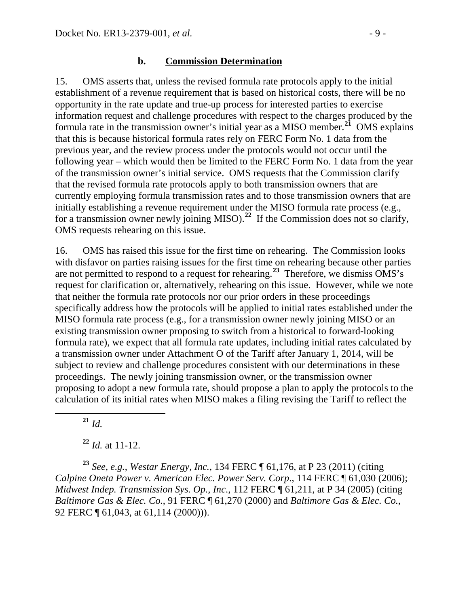#### **b. Commission Determination**

15. OMS asserts that, unless the revised formula rate protocols apply to the initial establishment of a revenue requirement that is based on historical costs, there will be no opportunity in the rate update and true-up process for interested parties to exercise information request and challenge procedures with respect to the charges produced by the formula rate in the transmission owner's initial year as a MISO member.**[21](#page-8-0)** OMS explains that this is because historical formula rates rely on FERC Form No. 1 data from the previous year, and the review process under the protocols would not occur until the following year – which would then be limited to the FERC Form No. 1 data from the year of the transmission owner's initial service. OMS requests that the Commission clarify that the revised formula rate protocols apply to both transmission owners that are currently employing formula transmission rates and to those transmission owners that are initially establishing a revenue requirement under the MISO formula rate process (e.g., for a transmission owner newly joining MISO).<sup>[22](#page-8-1)</sup> If the Commission does not so clarify, OMS requests rehearing on this issue.

16. OMS has raised this issue for the first time on rehearing. The Commission looks with disfavor on parties raising issues for the first time on rehearing because other parties are not permitted to respond to a request for rehearing.**[23](#page-8-2)** Therefore, we dismiss OMS's request for clarification or, alternatively, rehearing on this issue. However, while we note that neither the formula rate protocols nor our prior orders in these proceedings specifically address how the protocols will be applied to initial rates established under the MISO formula rate process (e.g., for a transmission owner newly joining MISO or an existing transmission owner proposing to switch from a historical to forward-looking formula rate), we expect that all formula rate updates, including initial rates calculated by a transmission owner under Attachment O of the Tariff after January 1, 2014, will be subject to review and challenge procedures consistent with our determinations in these proceedings. The newly joining transmission owner, or the transmission owner proposing to adopt a new formula rate, should propose a plan to apply the protocols to the calculation of its initial rates when MISO makes a filing revising the Tariff to reflect the

**<sup>21</sup>** *Id.*

**<sup>22</sup>** *Id.* at 11-12.

<span id="page-8-2"></span><span id="page-8-1"></span><span id="page-8-0"></span>**<sup>23</sup>** *See, e.g.*, *Westar Energy, Inc.*, 134 FERC ¶ 61,176, at P 23 (2011) (citing *Calpine Oneta Power v. American Elec. Power Serv. Corp*., 114 FERC ¶ 61,030 (2006); *Midwest Indep. Transmission Sys. Op., Inc*., 112 FERC ¶ 61,211, at P 34 (2005) (citing *Baltimore Gas & Elec. Co.*, 91 FERC ¶ 61,270 (2000) and *Baltimore Gas & Elec. Co.*, 92 FERC  $\P$  61,043, at 61,114 (2000))).